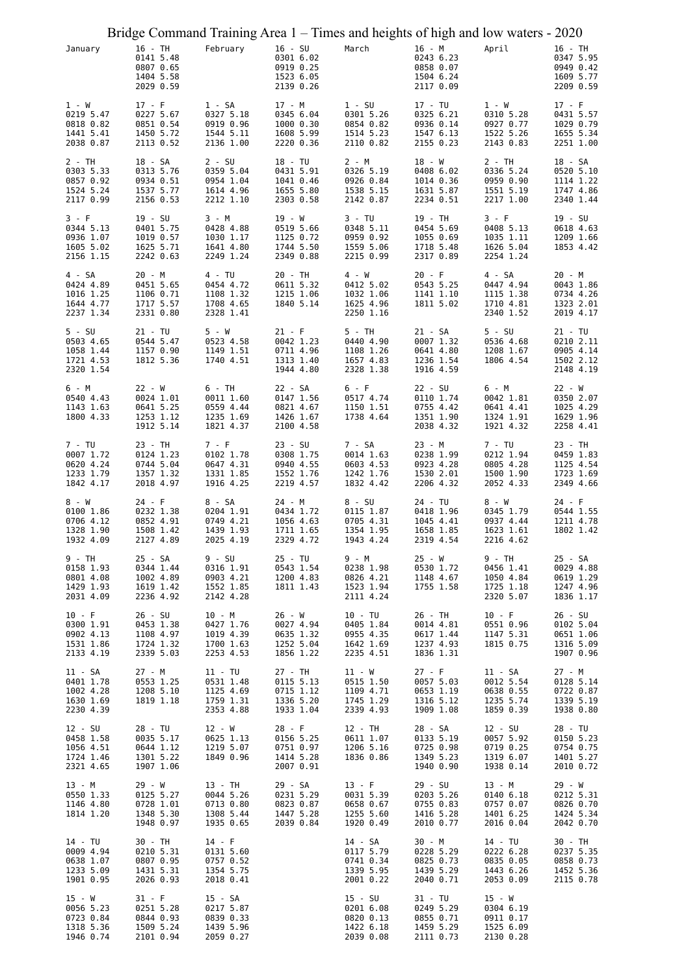|                                                              |                                                              |                                                              |                                                               | Bridge Command Training Area 1 - Times and heights of high and low waters - 2020 |                                                              |                                                               |                                                              |
|--------------------------------------------------------------|--------------------------------------------------------------|--------------------------------------------------------------|---------------------------------------------------------------|----------------------------------------------------------------------------------|--------------------------------------------------------------|---------------------------------------------------------------|--------------------------------------------------------------|
| January                                                      | 16 - TH<br>0141 5.48<br>0807 0.65<br>1404 5.58<br>2029 0.59  | February                                                     | $16 - SU$<br>0301 6.02<br>0919 0.25<br>1523 6.05<br>2139 0.26 | March                                                                            | 16 - M<br>0243 6.23<br>0858 0.07<br>1504 6.24<br>2117 0.09   | April                                                         | 16 - TH<br>0347 5.95<br>0949 0.42<br>1609 5.77<br>2209 0.59  |
| 1 - W<br>0219 5.47<br>0818 0.82<br>1441 5.41<br>2038 0.87    | $17 - F$<br>0227 5.67<br>0851 0.54<br>1450 5.72<br>2113 0.52 | 1 - SA<br>0327 5.18<br>0919 0.96<br>1544 5.11<br>2136 1.00   | 17 - M<br>0345 6.04<br>1000 0.30<br>1608 5.99<br>2220 0.36    | $1 - SU$<br>0301 5.26<br>0854 0.82<br>1514 5.23<br>2110 0.82                     | 17 - TU<br>0325 6.21<br>0936 0.14<br>1547 6.13<br>2155 0.23  | 1 - W<br>0310 5.28<br>0927 0.77<br>1522 5.26<br>2143 0.83     | $17 - F$<br>0431 5.57<br>1029 0.79<br>1655 5.34<br>2251 1.00 |
| 2 - TH<br>0303 5.33<br>0857 0.92<br>1524 5.24<br>2117 0.99   | 18 - SA<br>0313 5.76<br>0934 0.51<br>1537 5.77<br>2156 0.53  | 2 - SU<br>0359 5.04<br>0954 1.04<br>1614 4.96<br>2212 1.10   | 18 - TU<br>0431 5.91<br>1041 0.46<br>1655 5.80<br>2303 0.58   | $2 - M$<br>0326 5.19<br>0926 0.84<br>1538 5.15<br>2142 0.87                      | 18 - W<br>0408 6.02<br>1014 0.36<br>1631 5.87<br>2234 0.51   | $2 - TH$<br>0336 5.24<br>0959 0.90<br>1551 5.19<br>2217 1.00  | 18 - SA<br>0520 5.10<br>1114 1.22<br>1747 4.86<br>2340 1.44  |
| 3 - F<br>0344 5.13<br>0936 1.07<br>1605 5.02<br>2156 1.15    | 19 - SU<br>0401 5.75<br>1019 0.57<br>1625 5.71<br>2242 0.63  | 3 - M<br>0428 4.88<br>1030 1.17<br>1641 4.80<br>2249 1.24    | 19 - W<br>0519 5.66<br>1125 0.72<br>1744 5.50<br>2349 0.88    | 3 - TU<br>0348 5.11<br>0959 0.92<br>1559 5.06<br>2215 0.99                       | 19 - TH<br>0454 5.69<br>1055 0.69<br>1718 5.48<br>2317 0.89  | 3 - F<br>0408 5.13<br>1035 1.11<br>1626 5.04<br>2254 1.24     | $19 - SU$<br>0618 4.63<br>1209 1.66<br>1853 4.42             |
| 4 - SA<br>0424 4.89<br>1016 1.25<br>1644 4.77<br>2237 1.34   | 20 - M<br>0451 5.65<br>1106 0.71<br>1717 5.57<br>2331 0.80   | 4 - TU<br>0454 4.72<br>1108 1.32<br>1708 4.65<br>2328 1.41   | 20 - TH<br>0611 5.32<br>1215 1.06<br>1840 5.14                | 4 - W<br>0412 5.02<br>1032 1.06<br>1625 4.96<br>2250 1.16                        | $20 - F$<br>0543 5.25<br>1141 1.10<br>1811 5.02              | 4 - SA<br>0447 4.94<br>1115 1.38<br>1710 4.81<br>2340 1.52    | $20 - M$<br>0043 1.86<br>0734 4.26<br>1323 2.01<br>2019 4.17 |
| $5 - SU$<br>0503 4.65<br>1058 1.44<br>1721 4.53<br>2320 1.54 | $21 - TU$<br>0544 5.47<br>1157 0.90<br>1812 5.36             | 5 - W<br>0523 4.58<br>1149 1.51<br>1740 4.51                 | $21 - F$<br>0042 1.23<br>0711 4.96<br>1313 1.40<br>1944 4.80  | 5 - TH<br>0440 4.90<br>1108 1.26<br>1657 4.83<br>2328 1.38                       | 21 - SA<br>0007 1.32<br>0641 4.80<br>1236 1.54<br>1916 4.59  | $5 - SU$<br>0536 4.68<br>1208 1.67<br>1806 4.54               | 21 - TU<br>0210 2.11<br>0905 4.14<br>1502 2.12<br>2148 4.19  |
| 6 - M<br>0540 4.43<br>1143 1.63<br>1800 4.33                 | $22 - W$<br>0024 1.01<br>0641 5.25<br>1253 1.12<br>1912 5.14 | 6 - TH<br>0011 1.60<br>0559 4.44<br>1235 1.69<br>1821 4.37   | 22 - SA<br>0147 1.56<br>0821 4.67<br>1426 1.67<br>2100 4.58   | 6 - F<br>0517 4.74<br>1150 1.51<br>1738 4.64                                     | 22 - SU<br>0110 1.74<br>0755 4.42<br>1351 1.90<br>2038 4.32  | 6 - M<br>0042 1.81<br>0641 4.41<br>1324 1.91<br>1921 4.32     | $22 - W$<br>0350 2.07<br>1025 4.29<br>1629 1.96<br>2258 4.41 |
| 7 - TU<br>0007 1.72<br>0620 4.24<br>1233 1.79<br>1842 4.17   | 23 - TH<br>0124 1.23<br>0744 5.04<br>1357 1.32<br>2018 4.97  | 7 - F<br>0102 1.78<br>0647 4.31<br>1331 1.85<br>1916 4.25    | $23 - SU$<br>0308 1.75<br>0940 4.55<br>1552 1.76<br>2219 4.57 | 7 - SA<br>0014 1.63<br>0603 4.53<br>1242 1.76<br>1832 4.42                       | 23 - M<br>0238 1.99<br>0923 4.28<br>1530 2.01<br>2206 4.32   | 7 - TU<br>0212 1.94<br>0805 4.28<br>1500 1.90<br>2052 4.33    | 23 - TH<br>0459 1.83<br>1125 4.54<br>1723 1.69<br>2349 4.66  |
| 8 - W<br>0100 1.86<br>0706 4.12<br>1328 1.90<br>1932 4.09    | $24 - F$<br>0232 1.38<br>0852 4.91<br>1508 1.42<br>2127 4.89 | 8 - SA<br>0204 1.91<br>0749 4.21<br>1439 1.93<br>2025 4.19   | 24 - M<br>0434 1.72<br>1056 4.63<br>1711 1.65<br>2329 4.72    | 8 - SU<br>0115 1.87<br>0705 4.31<br>1354 1.95<br>1943 4.24                       | 24 - TU<br>0418 1.96<br>1045 4.41<br>1658 1.85<br>2319 4.54  | 8 - W<br>0345 1.79<br>0937 4.44<br>1623 1.61<br>2216 4.62     | 24 - F<br>0544 1.55<br>1211 4.78<br>1802 1.42                |
| 9 - TH<br>0158 1.93<br>0801 4.08<br>1429 1.93<br>2031 4.09   | 25 - SA<br>0344 1.44<br>1002 4.89<br>1619 1.42<br>2236 4.92  | 9 - SU<br>0316 1.91<br>0903 4.21<br>1552 1.85<br>2142 4.28   | 25 - TU<br>0543 1.54<br>1200 4.83<br>1811 1.43                | 9 - M<br>0238 1.98<br>0826 4.21<br>1523 1.94<br>2111 4.24                        | 25 - W<br>0530 1.72<br>1148 4.67<br>1755 1.58                | 9 - TH<br>0456 1.41<br>1050 4.84<br>1725 1.18<br>2320 5.07    | 25 - SA<br>0029 4.88<br>0619 1.29<br>1247 4.96<br>1836 1.17  |
| $10 - F$<br>0300 1.91<br>0902 4.13<br>1531 1.86<br>2133 4.19 | 26 - SU<br>0453 1.38<br>1108 4.97<br>1724 1.32<br>2339 5.03  | 10 - M<br>0427 1.76<br>1019 4.39<br>1700 1.63<br>2253 4.53   | 26 - W<br>0027 4.94<br>0635 1.32<br>1252 5.04<br>1856 1.22    | 10 - TU<br>0405 1.84<br>0955 4.35<br>1642 1.69<br>2235 4.51                      | 26 - TH<br>0014 4.81<br>0617 1.44<br>1237 4.93<br>1836 1.31  | $10 - F$<br>0551 0.96<br>1147 5.31<br>1815 0.75               | 26 - SU<br>0102 5.04<br>0651 1.06<br>1316 5.09<br>1907 0.96  |
| 11 - SA<br>0401 1.78<br>1002 4.28<br>1630 1.69<br>2230 4.39  | 27 - M<br>0553 1.25<br>1208 5.10<br>1819 1.18                | 11 - TU<br>0531 1.48<br>1125 4.69<br>1759 1.31<br>2353 4.88  | 27 - TH<br>0115 5.13<br>0715 1.12<br>1336 5.20<br>1933 1.04   | 11 - W<br>0515 1.50<br>1109 4.71<br>1745 1.29<br>2339 4.93                       | $27 - F$<br>0057 5.03<br>0653 1.19<br>1316 5.12<br>1909 1.08 | 11 - SA<br>0012 5.54<br>0638 0.55<br>1235 5.74<br>1859 0.39   | 27 - M<br>0128 5.14<br>0722 0.87<br>1339 5.19<br>1938 0.80   |
| 12 - SU<br>0458 1.58<br>1056 4.51<br>1724 1.46<br>2321 4.65  | 28 - TU<br>0035 5.17<br>0644 1.12<br>1301 5.22<br>1907 1.06  | $12 - W$<br>0625 1.13<br>1219 5.07<br>1849 0.96              | $28 - F$<br>0156 5.25<br>0751 0.97<br>1414 5.28<br>2007 0.91  | 12 - TH<br>0611 1.07<br>1206 5.16<br>1836 0.86                                   | 28 - SA<br>0133 5.19<br>0725 0.98<br>1349 5.23<br>1940 0.90  | $12 - SU$<br>0057 5.92<br>0719 0.25<br>1319 6.07<br>1938 0.14 | 28 - TU<br>0150 5.23<br>0754 0.75<br>1401 5.27<br>2010 0.72  |
| 13 - M<br>0550 1.33<br>1146 4.80<br>1814 1.20                | 29 - W<br>0125 5.27<br>0728 1.01<br>1348 5.30<br>1948 0.97   | 13 - TH<br>0044 5.26<br>0713 0.80<br>1308 5.44<br>1935 0.65  | 29 - SA<br>0231 5.29<br>0823 0.87<br>1447 5.28<br>2039 0.84   | $13 - F$<br>0031 5.39<br>0658 0.67<br>1255 5.60<br>1920 0.49                     | 29 - SU<br>0203 5.26<br>0755 0.83<br>1416 5.28<br>2010 0.77  | 13 - M<br>0140 6.18<br>0757 0.07<br>1401 6.25<br>2016 0.04    | 29 - W<br>0212 5.31<br>0826 0.70<br>1424 5.34<br>2042 0.70   |
| 14 - TU<br>0009 4.94<br>0638 1.07<br>1233 5.09<br>1901 0.95  | 30 - TH<br>0210 5.31<br>0807 0.95<br>1431 5.31<br>2026 0.93  | $14 - F$<br>0131 5.60<br>0757 0.52<br>1354 5.75<br>2018 0.41 |                                                               | 14 - SA<br>0117 5.79<br>0741 0.34<br>1339 5.95<br>2001 0.22                      | 30 - M<br>0228 5.29<br>0825 0.73<br>1439 5.29<br>2040 0.71   | 14 - TU<br>0222 6.28<br>0835 0.05<br>1443 6.26<br>2053 0.09   | 30 - TH<br>0237 5.35<br>0858 0.73<br>1452 5.36<br>2115 0.78  |
| 15 - W<br>0056 5.23<br>0723 0.84<br>1318 5.36<br>1946 0.74   | $31 - F$<br>0251 5.28<br>0844 0.93<br>1509 5.24<br>2101 0.94 | 15 - SA<br>0217 5.87<br>0839 0.33<br>1439 5.96<br>2059 0.27  |                                                               | $15 - SU$<br>0201 6.08<br>0820 0.13<br>1422 6.18<br>2039 0.08                    | 31 - TU<br>0249 5.29<br>0855 0.71<br>1459 5.29<br>2111 0.73  | $15 - W$<br>0304 6.19<br>0911 0.17<br>1525 6.09<br>2130 0.28  |                                                              |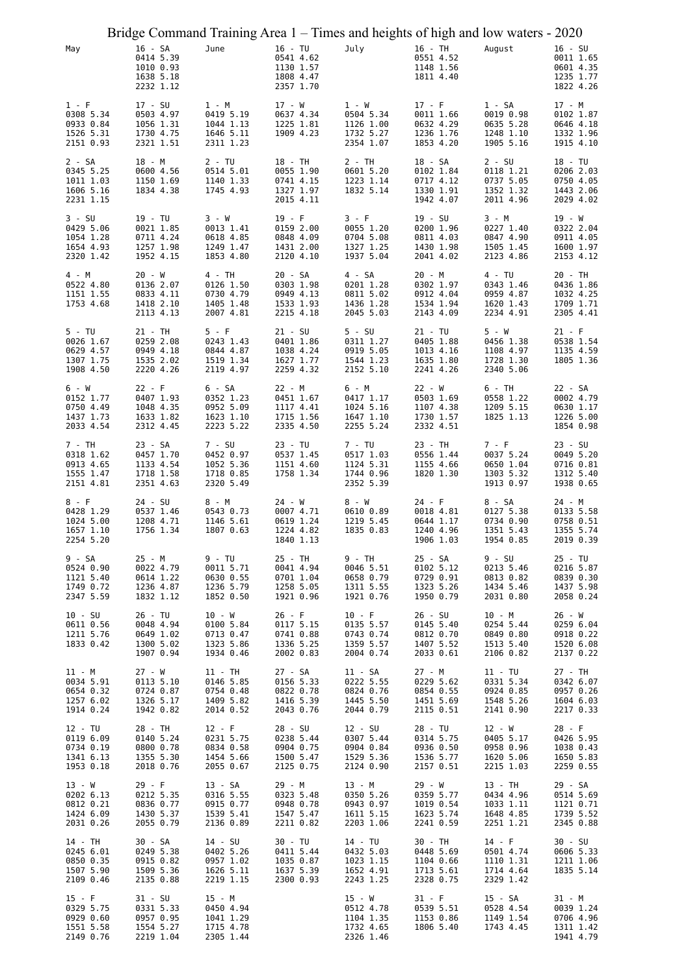|                                                              |                                                              |                                                              |                                                               | Bridge Command Training Area 1 – Times and heights of high and low waters - 2020 |                                                              |                                                              |                                                               |
|--------------------------------------------------------------|--------------------------------------------------------------|--------------------------------------------------------------|---------------------------------------------------------------|----------------------------------------------------------------------------------|--------------------------------------------------------------|--------------------------------------------------------------|---------------------------------------------------------------|
| May                                                          | 16 - SA<br>0414 5.39<br>1010 0.93<br>1638 5.18<br>2232 1.12  | June                                                         | 16 - TU<br>0541 4.62<br>1130 1.57<br>1808 4.47<br>2357 1.70   | July                                                                             | 16 - TH<br>0551 4.52<br>1148 1.56<br>1811 4.40               | August                                                       | $16 - SU$<br>0011 1.65<br>0601 4.35<br>1235 1.77<br>1822 4.26 |
| $1 - F$<br>0308 5.34<br>0933 0.84<br>1526 5.31<br>2151 0.93  | 17 - SU<br>0503 4.97<br>1056 1.31<br>1730 4.75<br>2321 1.51  | 1 - M<br>0419 5.19<br>1044 1.13<br>1646 5.11<br>2311 1.23    | 17 - W<br>0637 4.34<br>1225 1.81<br>1909 4.23                 | 1 - W<br>0504 5.34<br>1126 1.00<br>1732 5.27<br>2354 1.07                        | $17 - F$<br>0011 1.66<br>0632 4.29<br>1236 1.76<br>1853 4.20 | 1 - SA<br>0019 0.98<br>0635 5.28<br>1248 1.10<br>1905 5.16   | 17 - M<br>0102 1.87<br>0646 4.18<br>1332 1.96<br>1915 4.10    |
| 2 - SA<br>0345 5.25<br>1011 1.03<br>1606 5.16<br>2231 1.15   | 18 - M<br>0600 4.56<br>1150 1.69<br>1834 4.38                | 2 - TU<br>0514 5.01<br>1140 1.33<br>1745 4.93                | 18 - TH<br>0055 1.90<br>0741 4.15<br>1327 1.97<br>2015 4.11   | 2 - TH<br>0601 5.20<br>1223 1.14<br>1832 5.14                                    | 18 - SA<br>0102 1.84<br>0717 4.12<br>1330 1.91<br>1942 4.07  | $2 - SU$<br>0118 1.21<br>0737 5.05<br>1352 1.32<br>2011 4.96 | 18 - TU<br>0206 2.03<br>0750 4.05<br>1443 2.06<br>2029 4.02   |
| $3 - SU$<br>0429 5.06<br>1054 1.28<br>1654 4.93<br>2320 1.42 | 19 - TU<br>0021 1.85<br>0711 4.24<br>1257 1.98<br>1952 4.15  | 3 - W<br>0013 1.41<br>0618 4.85<br>1249 1.47<br>1853 4.80    | $19 - F$<br>0159 2.00<br>0848 4.09<br>1431 2.00<br>2120 4.10  | 3 - F<br>0055 1.20<br>0704 5.08<br>1327 1.25<br>1937 5.04                        | 19 - SU<br>0200 1.96<br>0811 4.03<br>1430 1.98<br>2041 4.02  | 3 - M<br>0227 1.40<br>0847 4.90<br>1505 1.45<br>2123 4.86    | 19 - W<br>0322 2.04<br>0911 4.05<br>1600 1.97<br>2153 4.12    |
| 4 - M<br>0522 4.80<br>1151 1.55<br>1753 4.68                 | $20 - W$<br>0136 2.07<br>0833 4.11<br>1418 2.10<br>2113 4.13 | 4 - TH<br>0126 1.50<br>0730 4.79<br>1405 1.48<br>2007 4.81   | 20 - SA<br>0303 1.98<br>0949 4.13<br>1533 1.93<br>2215 4.18   | 4 - SA<br>0201 1.28<br>0811 5.02<br>1436 1.28<br>2045 5.03                       | 20 - M<br>0302 1.97<br>0912 4.04<br>1534 1.94<br>2143 4.09   | 4 - TU<br>0343 1.46<br>0959 4.87<br>1620 1.43<br>2234 4.91   | 20 - TH<br>0436 1.86<br>1032 4.25<br>1709 1.71<br>2305 4.41   |
| 5 - TU<br>0026 1.67<br>0629 4.57<br>1307 1.75<br>1908 4.50   | 21 - TH<br>0259 2.08<br>0949 4.18<br>1535 2.02<br>2220 4.26  | 5 - F<br>0243 1.43<br>0844 4.87<br>1519 1.34<br>2119 4.97    | $21 - SU$<br>0401 1.86<br>1038 4.24<br>1627 1.77<br>2259 4.32 | $5 - SU$<br>0311 1.27<br>0919 5.05<br>1544 1.23<br>2152 5.10                     | 21 - TU<br>0405 1.88<br>1013 4.16<br>1635 1.80<br>2241 4.26  | 5 - W<br>0456 1.38<br>1108 4.97<br>1728 1.30<br>2340 5.06    | $21 - F$<br>0538 1.54<br>1135 4.59<br>1805 1.36               |
| 6 - W<br>0152 1.77<br>0750 4.49<br>1437 1.73<br>2033 4.54    | $22 - F$<br>0407 1.93<br>1048 4.35<br>1633 1.82<br>2312 4.45 | 6 - SA<br>0352 1.23<br>0952 5.09<br>1623 1.10<br>2223 5.22   | 22 - M<br>0451 1.67<br>1117 4.41<br>1715 1.56<br>2335 4.50    | 6 - M<br>0417 1.17<br>1024 5.16<br>1647 1.10<br>2255 5.24                        | 22 - W<br>0503 1.69<br>1107 4.38<br>1730 1.57<br>2332 4.51   | 6 - TH<br>0558 1.22<br>1209 5.15<br>1825 1.13                | 22 - SA<br>0002 4.79<br>0630 1.17<br>1226 5.00<br>1854 0.98   |
| 7 - TH<br>0318 1.62<br>0913 4.65<br>1555 1.47<br>2151 4.81   | 23 - SA<br>0457 1.70<br>1133 4.54<br>1718 1.58<br>2351 4.63  | 7 - SU<br>0452 0.97<br>1052 5.36<br>1718 0.85<br>2320 5.49   | 23 - TU<br>0537 1.45<br>1151 4.60<br>1758 1.34                | 7 - TU<br>0517 1.03<br>1124 5.31<br>1744 0.96<br>2352 5.39                       | 23 - TH<br>0556 1.44<br>1155 4.66<br>1820 1.30               | 7 - F<br>0037 5.24<br>0650 1.04<br>1303 5.32<br>1913 0.97    | $23 - SU$<br>0049 5.20<br>0716 0.81<br>1312 5.40<br>1938 0.65 |
| 8 - F<br>0428 1.29<br>1024 5.00<br>1657 1.10<br>2254 5.20    | 24 - SU<br>0537 1.46<br>1208 4.71<br>1756 1.34               | 8 - M<br>0543 0.73<br>1146 5.61<br>1807 0.63                 | 24 - W<br>0007 4.71<br>0619 1.24<br>1224 4.82<br>1840 1.13    | 8 - W<br>0610 0.89<br>1219 5.45<br>1835 0.83                                     | 24 - F<br>0018 4.81<br>0644 1.17<br>1240 4.96<br>1906 1.03   | 8 - SA<br>0127 5.38<br>0734 0.90<br>1351 5.43<br>1954 0.85   | 24 - M<br>0133 5.58<br>0758 0.51<br>1355 5.74<br>2019 0.39    |
| 9 - SA<br>0524 0.90<br>1121 5.40<br>1749 0.72<br>2347 5.59   | 25 - M<br>0022 4.79<br>0614 1.22<br>1236 4.87<br>1832 1.12   | 9 - TU<br>0011 5.71<br>0630 0.55<br>1236 5.79<br>1852 0.50   | 25 - TH<br>0041 4.94<br>0701 1.04<br>1258 5.05<br>1921 0.96   | 9 - TH<br>0046 5.51<br>0658 0.79<br>1311 5.55<br>1921 0.76                       | 25 - SA<br>0102 5.12<br>0729 0.91<br>1323 5.26<br>1950 0.79  | 9 - SU<br>0213 5.46<br>0813 0.82<br>1434 5.46<br>2031 0.80   | 25 - TU<br>0216 5.87<br>0839 0.30<br>1437 5.98<br>2058 0.24   |
| $10 - SU$<br>0611 0.56<br>1211 5.76<br>1833 0.42             | 26 - TU<br>0048 4.94<br>0649 1.02<br>1300 5.02<br>1907 0.94  | 10 - W<br>0100 5.84<br>0713 0.47<br>1323 5.86<br>1934 0.46   | $26 - F$<br>0117 5.15<br>0741 0.88<br>1336 5.25<br>2002 0.83  | $10 - F$<br>0135 5.57<br>0743 0.74<br>1359 5.57<br>2004 0.74                     | 26 - SU<br>0145 5.40<br>0812 0.70<br>1407 5.52<br>2033 0.61  | 10 - M<br>0254 5.44<br>0849 0.80<br>1513 5.40<br>2106 0.82   | $26 - W$<br>0259 6.04<br>0918 0.22<br>1520 6.08<br>2137 0.22  |
| 11 - M<br>0034 5.91<br>0654 0.32<br>1257 6.02<br>1914 0.24   | $27 - W$<br>0113 5.10<br>0724 0.87<br>1326 5.17<br>1942 0.82 | 11 - TH<br>0146 5.85<br>0754 0.48<br>1409 5.82<br>2014 0.52  | 27 - SA<br>0156 5.33<br>0822 0.78<br>1416 5.39<br>2043 0.76   | 11 - SA<br>0222 5.55<br>0824 0.76<br>1445 5.50<br>2044 0.79                      | 27 - M<br>0229 5.62<br>0854 0.55<br>1451 5.69<br>2115 0.51   | 11 - TU<br>0331 5.34<br>0924 0.85<br>1548 5.26<br>2141 0.90  | 27 - TH<br>0342 6.07<br>0957 0.26<br>1604 6.03<br>2217 0.33   |
| 12 - TU<br>0119 6.09<br>0734 0.19<br>1341 6.13<br>1953 0.18  | 28 - TH<br>0140 5.24<br>0800 0.78<br>1355 5.30<br>2018 0.76  | $12 - F$<br>0231 5.75<br>0834 0.58<br>1454 5.66<br>2055 0.67 | 28 - SU<br>0238 5.44<br>0904 0.75<br>1500 5.47<br>2125 0.75   | $12 - SU$<br>0307 5.44<br>0904 0.84<br>1529 5.36<br>2124 0.90                    | 28 - TU<br>0314 5.75<br>0936 0.50<br>1536 5.77<br>2157 0.51  | 12 - W<br>0405 5.17<br>0958 0.96<br>1620 5.06<br>2215 1.03   | 28 - F<br>0426 5.95<br>1038 0.43<br>1650 5.83<br>2259 0.55    |
| 13 - W<br>0202 6.13<br>0812 0.21<br>1424 6.09<br>2031 0.26   | $29 - F$<br>0212 5.35<br>0836 0.77<br>1430 5.37<br>2055 0.79 | 13 - SA<br>0316 5.55<br>0915 0.77<br>1539 5.41<br>2136 0.89  | 29 - M<br>0323 5.48<br>0948 0.78<br>1547 5.47<br>2211 0.82    | 13 - M<br>0350 5.26<br>0943 0.97<br>1611 5.15<br>2203 1.06                       | 29 - W<br>0359 5.77<br>1019 0.54<br>1623 5.74<br>2241 0.59   | 13 - TH<br>0434 4.96<br>1033 1.11<br>1648 4.85<br>2251 1.21  | 29 - SA<br>0514 5.69<br>1121 0.71<br>1739 5.52<br>2345 0.88   |
| 14 - TH<br>0245 6.01<br>0850 0.35<br>1507 5.90<br>2109 0.46  | 30 - SA<br>0249 5.38<br>0915 0.82<br>1509 5.36<br>2135 0.88  | 14 - SU<br>0402 5.26<br>0957 1.02<br>1626 5.11<br>2219 1.15  | 30 - TU<br>0411 5.44<br>1035 0.87<br>1637 5.39<br>2300 0.93   | 14 - TU<br>0432 5.03<br>1023 1.15<br>1652 4.91<br>2243 1.25                      | 30 - TH<br>0448 5.69<br>1104 0.66<br>1713 5.61<br>2328 0.75  | 14 - F<br>0501 4.74<br>1110 1.31<br>1714 4.64<br>2329 1.42   | 30 - SU<br>0606 5.33<br>1211 1.06<br>1835 5.14                |
| $15 - F$<br>0329 5.75<br>0929 0.60<br>1551 5.58<br>2149 0.76 | 31 - SU<br>0331 5.33<br>0957 0.95<br>1554 5.27<br>2219 1.04  | 15 - M<br>0450 4.94<br>1041 1.29<br>1715 4.78<br>2305 1.44   |                                                               | $15 - W$<br>0512 4.78<br>1104 1.35<br>1732 4.65<br>2326 1.46                     | $31 - F$<br>0539 5.51<br>1153 0.86<br>1806 5.40              | 15 - SA<br>0528 4.54<br>1149 1.54<br>1743 4.45               | 31 - M<br>0039 1.24<br>0706 4.96<br>1311 1.42<br>1941 4.79    |